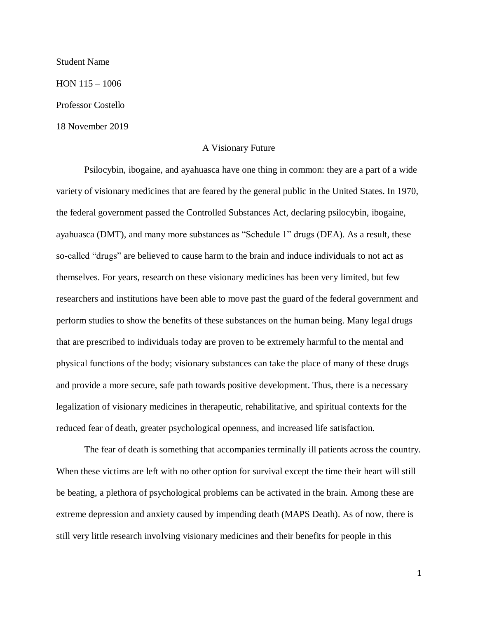## Student Name

HON 115 – 1006

Professor Costello

18 November 2019

## A Visionary Future

Psilocybin, ibogaine, and ayahuasca have one thing in common: they are a part of a wide variety of visionary medicines that are feared by the general public in the United States. In 1970, the federal government passed the Controlled Substances Act, declaring psilocybin, ibogaine, ayahuasca (DMT), and many more substances as "Schedule 1" drugs (DEA). As a result, these so-called "drugs" are believed to cause harm to the brain and induce individuals to not act as themselves. For years, research on these visionary medicines has been very limited, but few researchers and institutions have been able to move past the guard of the federal government and perform studies to show the benefits of these substances on the human being. Many legal drugs that are prescribed to individuals today are proven to be extremely harmful to the mental and physical functions of the body; visionary substances can take the place of many of these drugs and provide a more secure, safe path towards positive development. Thus, there is a necessary legalization of visionary medicines in therapeutic, rehabilitative, and spiritual contexts for the reduced fear of death, greater psychological openness, and increased life satisfaction.

The fear of death is something that accompanies terminally ill patients across the country. When these victims are left with no other option for survival except the time their heart will still be beating, a plethora of psychological problems can be activated in the brain. Among these are extreme depression and anxiety caused by impending death (MAPS Death). As of now, there is still very little research involving visionary medicines and their benefits for people in this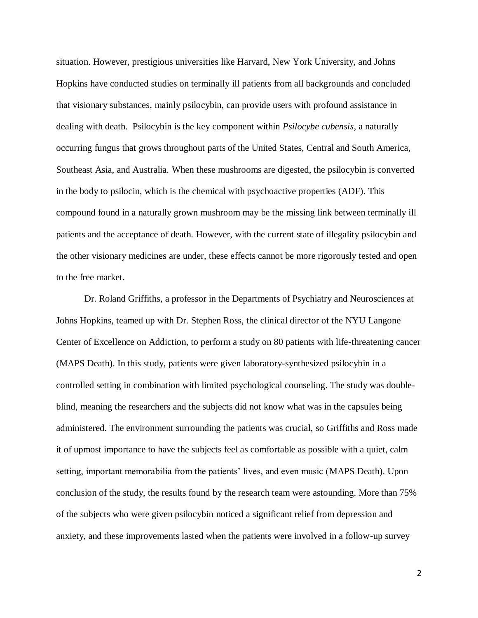situation. However, prestigious universities like Harvard, New York University, and Johns Hopkins have conducted studies on terminally ill patients from all backgrounds and concluded that visionary substances, mainly psilocybin, can provide users with profound assistance in dealing with death. Psilocybin is the key component within *Psilocybe cubensis*, a naturally occurring fungus that grows throughout parts of the United States, Central and South America, Southeast Asia, and Australia. When these mushrooms are digested, the psilocybin is converted in the body to psilocin, which is the chemical with psychoactive properties (ADF). This compound found in a naturally grown mushroom may be the missing link between terminally ill patients and the acceptance of death. However, with the current state of illegality psilocybin and the other visionary medicines are under, these effects cannot be more rigorously tested and open to the free market.

Dr. Roland Griffiths, a professor in the Departments of Psychiatry and Neurosciences at Johns Hopkins, teamed up with Dr. Stephen Ross, the clinical director of the NYU Langone Center of Excellence on Addiction, to perform a study on 80 patients with life-threatening cancer (MAPS Death). In this study, patients were given laboratory-synthesized psilocybin in a controlled setting in combination with limited psychological counseling. The study was doubleblind, meaning the researchers and the subjects did not know what was in the capsules being administered. The environment surrounding the patients was crucial, so Griffiths and Ross made it of upmost importance to have the subjects feel as comfortable as possible with a quiet, calm setting, important memorabilia from the patients' lives, and even music (MAPS Death). Upon conclusion of the study, the results found by the research team were astounding. More than 75% of the subjects who were given psilocybin noticed a significant relief from depression and anxiety, and these improvements lasted when the patients were involved in a follow-up survey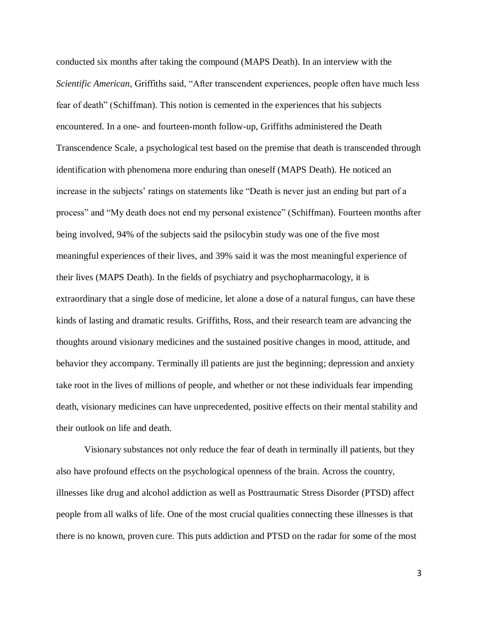conducted six months after taking the compound (MAPS Death). In an interview with the *Scientific American*, Griffiths said, "After transcendent experiences, people often have much less fear of death" (Schiffman). This notion is cemented in the experiences that his subjects encountered. In a one- and fourteen-month follow-up, Griffiths administered the Death Transcendence Scale, a psychological test based on the premise that death is transcended through identification with phenomena more enduring than oneself (MAPS Death). He noticed an increase in the subjects' ratings on statements like "Death is never just an ending but part of a process" and "My death does not end my personal existence" (Schiffman). Fourteen months after being involved, 94% of the subjects said the psilocybin study was one of the five most meaningful experiences of their lives, and 39% said it was the most meaningful experience of their lives (MAPS Death). In the fields of psychiatry and psychopharmacology, it is extraordinary that a single dose of medicine, let alone a dose of a natural fungus, can have these kinds of lasting and dramatic results. Griffiths, Ross, and their research team are advancing the thoughts around visionary medicines and the sustained positive changes in mood, attitude, and behavior they accompany. Terminally ill patients are just the beginning; depression and anxiety take root in the lives of millions of people, and whether or not these individuals fear impending death, visionary medicines can have unprecedented, positive effects on their mental stability and their outlook on life and death.

Visionary substances not only reduce the fear of death in terminally ill patients, but they also have profound effects on the psychological openness of the brain. Across the country, illnesses like drug and alcohol addiction as well as Posttraumatic Stress Disorder (PTSD) affect people from all walks of life. One of the most crucial qualities connecting these illnesses is that there is no known, proven cure. This puts addiction and PTSD on the radar for some of the most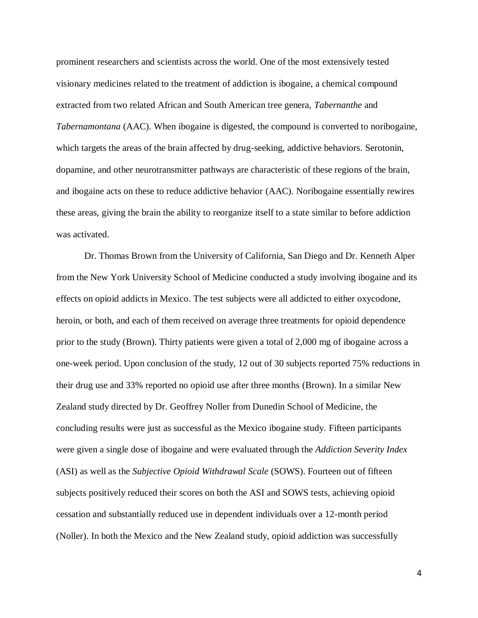prominent researchers and scientists across the world. One of the most extensively tested visionary medicines related to the treatment of addiction is ibogaine, a chemical compound extracted from two related African and South American tree genera, *Tabernanthe* and *Tabernamontana* (AAC). When ibogaine is digested, the compound is converted to noribogaine, which targets the areas of the brain affected by drug-seeking, addictive behaviors. Serotonin, dopamine, and other neurotransmitter pathways are characteristic of these regions of the brain, and ibogaine acts on these to reduce addictive behavior (AAC). Noribogaine essentially rewires these areas, giving the brain the ability to reorganize itself to a state similar to before addiction was activated.

Dr. Thomas Brown from the University of California, San Diego and Dr. Kenneth Alper from the New York University School of Medicine conducted a study involving ibogaine and its effects on opioid addicts in Mexico. The test subjects were all addicted to either oxycodone, heroin, or both, and each of them received on average three treatments for opioid dependence prior to the study (Brown). Thirty patients were given a total of 2,000 mg of ibogaine across a one-week period. Upon conclusion of the study, 12 out of 30 subjects reported 75% reductions in their drug use and 33% reported no opioid use after three months (Brown). In a similar New Zealand study directed by Dr. Geoffrey Noller from Dunedin School of Medicine, the concluding results were just as successful as the Mexico ibogaine study. Fifteen participants were given a single dose of ibogaine and were evaluated through the *Addiction Severity Index* (ASI) as well as the *Subjective Opioid Withdrawal Scale* (SOWS). Fourteen out of fifteen subjects positively reduced their scores on both the ASI and SOWS tests, achieving opioid cessation and substantially reduced use in dependent individuals over a 12-month period (Noller). In both the Mexico and the New Zealand study, opioid addiction was successfully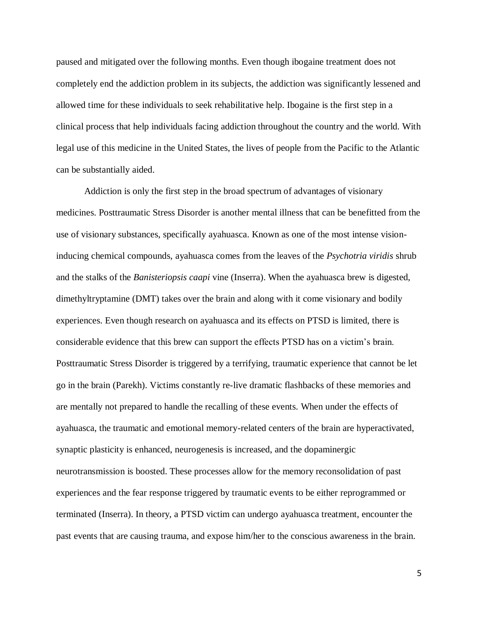paused and mitigated over the following months. Even though ibogaine treatment does not completely end the addiction problem in its subjects, the addiction was significantly lessened and allowed time for these individuals to seek rehabilitative help. Ibogaine is the first step in a clinical process that help individuals facing addiction throughout the country and the world. With legal use of this medicine in the United States, the lives of people from the Pacific to the Atlantic can be substantially aided.

Addiction is only the first step in the broad spectrum of advantages of visionary medicines. Posttraumatic Stress Disorder is another mental illness that can be benefitted from the use of visionary substances, specifically ayahuasca. Known as one of the most intense visioninducing chemical compounds, ayahuasca comes from the leaves of the *Psychotria viridis* shrub and the stalks of the *Banisteriopsis caapi* vine (Inserra). When the ayahuasca brew is digested, dimethyltryptamine (DMT) takes over the brain and along with it come visionary and bodily experiences. Even though research on ayahuasca and its effects on PTSD is limited, there is considerable evidence that this brew can support the effects PTSD has on a victim's brain. Posttraumatic Stress Disorder is triggered by a terrifying, traumatic experience that cannot be let go in the brain (Parekh). Victims constantly re-live dramatic flashbacks of these memories and are mentally not prepared to handle the recalling of these events. When under the effects of ayahuasca, the traumatic and emotional memory-related centers of the brain are hyperactivated, synaptic plasticity is enhanced, neurogenesis is increased, and the dopaminergic neurotransmission is boosted. These processes allow for the memory reconsolidation of past experiences and the fear response triggered by traumatic events to be either reprogrammed or terminated (Inserra). In theory, a PTSD victim can undergo ayahuasca treatment, encounter the past events that are causing trauma, and expose him/her to the conscious awareness in the brain.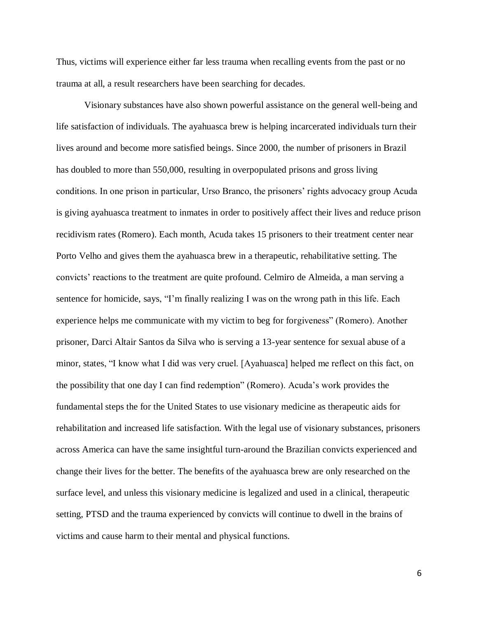Thus, victims will experience either far less trauma when recalling events from the past or no trauma at all, a result researchers have been searching for decades.

Visionary substances have also shown powerful assistance on the general well-being and life satisfaction of individuals. The ayahuasca brew is helping incarcerated individuals turn their lives around and become more satisfied beings. Since 2000, the number of prisoners in Brazil has doubled to more than 550,000, resulting in overpopulated prisons and gross living conditions. In one prison in particular, Urso Branco, the prisoners' rights advocacy group Acuda is giving ayahuasca treatment to inmates in order to positively affect their lives and reduce prison recidivism rates (Romero). Each month, Acuda takes 15 prisoners to their treatment center near Porto Velho and gives them the ayahuasca brew in a therapeutic, rehabilitative setting. The convicts' reactions to the treatment are quite profound. Celmiro de Almeida, a man serving a sentence for homicide, says, "I'm finally realizing I was on the wrong path in this life. Each experience helps me communicate with my victim to beg for forgiveness" (Romero). Another prisoner, Darci Altair Santos da Silva who is serving a 13-year sentence for sexual abuse of a minor, states, "I know what I did was very cruel. [Ayahuasca] helped me reflect on this fact, on the possibility that one day I can find redemption" (Romero). Acuda's work provides the fundamental steps the for the United States to use visionary medicine as therapeutic aids for rehabilitation and increased life satisfaction. With the legal use of visionary substances, prisoners across America can have the same insightful turn-around the Brazilian convicts experienced and change their lives for the better. The benefits of the ayahuasca brew are only researched on the surface level, and unless this visionary medicine is legalized and used in a clinical, therapeutic setting, PTSD and the trauma experienced by convicts will continue to dwell in the brains of victims and cause harm to their mental and physical functions.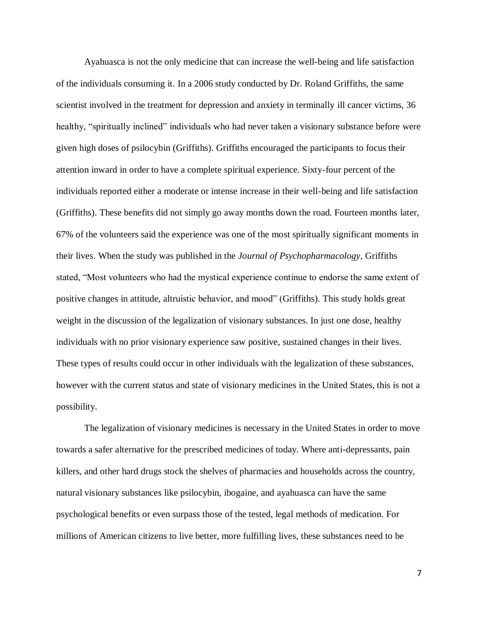Ayahuasca is not the only medicine that can increase the well-being and life satisfaction of the individuals consuming it. In a 2006 study conducted by Dr. Roland Griffiths, the same scientist involved in the treatment for depression and anxiety in terminally ill cancer victims, 36 healthy, "spiritually inclined" individuals who had never taken a visionary substance before were given high doses of psilocybin (Griffiths). Griffiths encouraged the participants to focus their attention inward in order to have a complete spiritual experience. Sixty-four percent of the individuals reported either a moderate or intense increase in their well-being and life satisfaction (Griffiths). These benefits did not simply go away months down the road. Fourteen months later, 67% of the volunteers said the experience was one of the most spiritually significant moments in their lives. When the study was published in the *Journal of Psychopharmacology*, Griffiths stated, "Most volunteers who had the mystical experience continue to endorse the same extent of positive changes in attitude, altruistic behavior, and mood" (Griffiths). This study holds great weight in the discussion of the legalization of visionary substances. In just one dose, healthy individuals with no prior visionary experience saw positive, sustained changes in their lives. These types of results could occur in other individuals with the legalization of these substances, however with the current status and state of visionary medicines in the United States, this is not a possibility.

The legalization of visionary medicines is necessary in the United States in order to move towards a safer alternative for the prescribed medicines of today. Where anti-depressants, pain killers, and other hard drugs stock the shelves of pharmacies and households across the country, natural visionary substances like psilocybin, ibogaine, and ayahuasca can have the same psychological benefits or even surpass those of the tested, legal methods of medication. For millions of American citizens to live better, more fulfilling lives, these substances need to be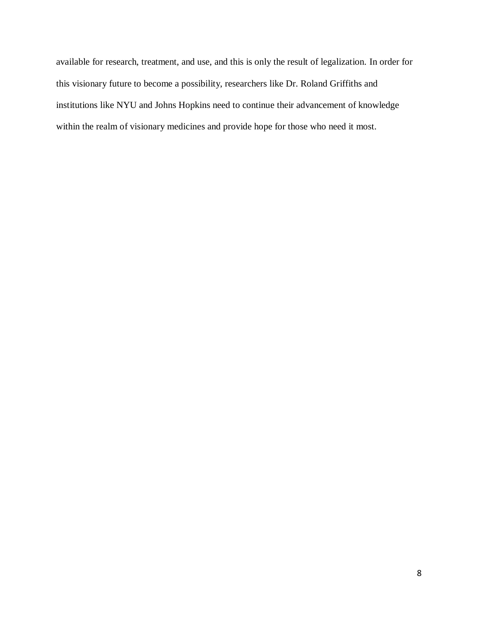available for research, treatment, and use, and this is only the result of legalization. In order for this visionary future to become a possibility, researchers like Dr. Roland Griffiths and institutions like NYU and Johns Hopkins need to continue their advancement of knowledge within the realm of visionary medicines and provide hope for those who need it most.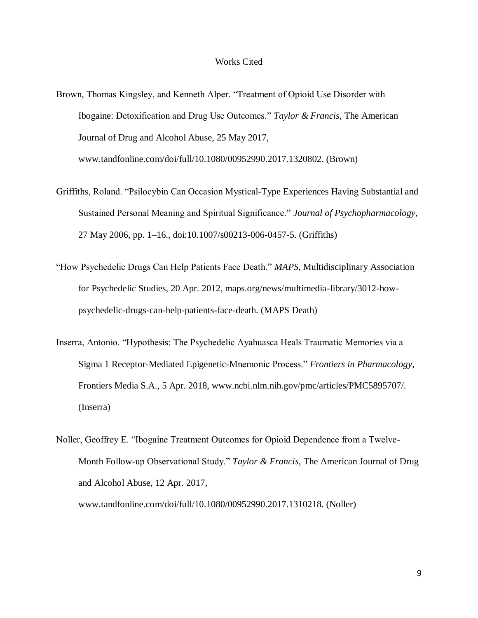## Works Cited

- Brown, Thomas Kingsley, and Kenneth Alper. "Treatment of Opioid Use Disorder with Ibogaine: Detoxification and Drug Use Outcomes." *Taylor & Francis*, The American Journal of Drug and Alcohol Abuse, 25 May 2017, www.tandfonline.com/doi/full/10.1080/00952990.2017.1320802. (Brown)
- Griffiths, Roland. "Psilocybin Can Occasion Mystical-Type Experiences Having Substantial and Sustained Personal Meaning and Spiritual Significance." *Journal of Psychopharmacology*, 27 May 2006, pp. 1–16., doi:10.1007/s00213-006-0457-5. (Griffiths)
- "How Psychedelic Drugs Can Help Patients Face Death." *MAPS*, Multidisciplinary Association for Psychedelic Studies, 20 Apr. 2012, maps.org/news/multimedia-library/3012-howpsychedelic-drugs-can-help-patients-face-death. (MAPS Death)
- Inserra, Antonio. "Hypothesis: The Psychedelic Ayahuasca Heals Traumatic Memories via a Sigma 1 Receptor-Mediated Epigenetic-Mnemonic Process." *Frontiers in Pharmacology*, Frontiers Media S.A., 5 Apr. 2018, www.ncbi.nlm.nih.gov/pmc/articles/PMC5895707/. (Inserra)
- Noller, Geoffrey E. "Ibogaine Treatment Outcomes for Opioid Dependence from a Twelve-Month Follow-up Observational Study." *Taylor & Francis*, The American Journal of Drug and Alcohol Abuse, 12 Apr. 2017, www.tandfonline.com/doi/full/10.1080/00952990.2017.1310218. (Noller)